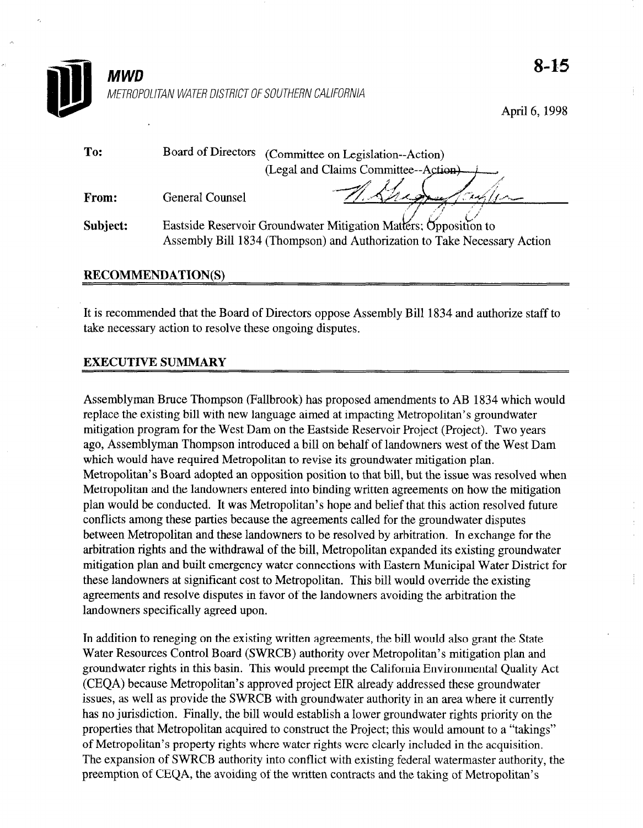

April 6,199s

| To:      | <b>Board of Directors</b>                                                                                                                    | (Committee on Legislation--Action)   |
|----------|----------------------------------------------------------------------------------------------------------------------------------------------|--------------------------------------|
|          |                                                                                                                                              | (Legal and Claims Committee--Action) |
| From:    | <b>General Counsel</b>                                                                                                                       |                                      |
| Subject: | Eastside Reservoir Groundwater Mitigation Matters; Opposition to<br>Assembly Bill 1834 (Thompson) and Authorization to Take Necessary Action |                                      |

## RECOMMENDATION(S)

It is recommended that the Board of Directors oppose Assembly Bill 1834 and authorize staff to take necessary action to resolve these ongoing disputes.

## EXECUTIVE SUMMARY

Assemblyman Bruce Thompson (Fallbrook) has proposed amendments to AB 1834 which would reporting bill with new language and the existing proposed at including Metropolitan's groundwater at industrial mitigation program for the West Dam on the East Dam on the East Dam on the East of Project (Project). The East of Project (Project Control of Project (Project Control of Project Control of Project Control of Project Contro mitigation program for the West Dam on the Eastside Reservoir Project (Project). Two years ago, Assemblyman Thompson introduced a bill on behalf of landowners west of the West Dam<br>which would have required Metropolitan to revise its groundwater mitigation plan. which would have required metropolitan to revise us groundwater intugation plan. Metropolitan s Doard adopted an opposition position to that only out the issue was resorved wird Metropolitan and the landowners entered into binding written agreements on how the mitigation plan would be conducted. It was Metropolitan's hope and belief that this action resolved future conflicts among these parties because the agreements called for the groundwater disputes between Metropolitan and these landowners to be resolved by arbitration. In exchange for the arbitration rights and the withdrawal of the bill, Metropolitan expanded its existing groundwater mitigation plan and built emergency water connections with Eastern Municipal Water District for these landowners at significant cost to Metropolitan. This bill would override the existing agreements and resolve disputes in favor of the landowners avoiding the arbitration the landowners specifically agreed upon.

In addition to reneging on the existing written agreements, the bill would also grant the State Water Resources Control Board (SWRCB) authority over Metropolitan's mitigation plan and groundwater rights in this basin. This would preempt the California Environmental Quality Act (CEQA) because Metropolitan's approved project EIR already addressed these groundwater issues, as well as provide the SWRCB with groundwater authority in an area where it currently has no jurisdiction. Finally, the bill would establish a lower groundwater rights priority on the properties that Metropolitan acquired to construct the Project; this would amount to a "takings" of Metropolitan's property rights where water rights were clearly included in the acquisition. The expansion of SWRCB authority into conflict with existing federal watermaster authority, the preemption of CEQA, the avoiding of the written contracts and the taking of Metropolitan's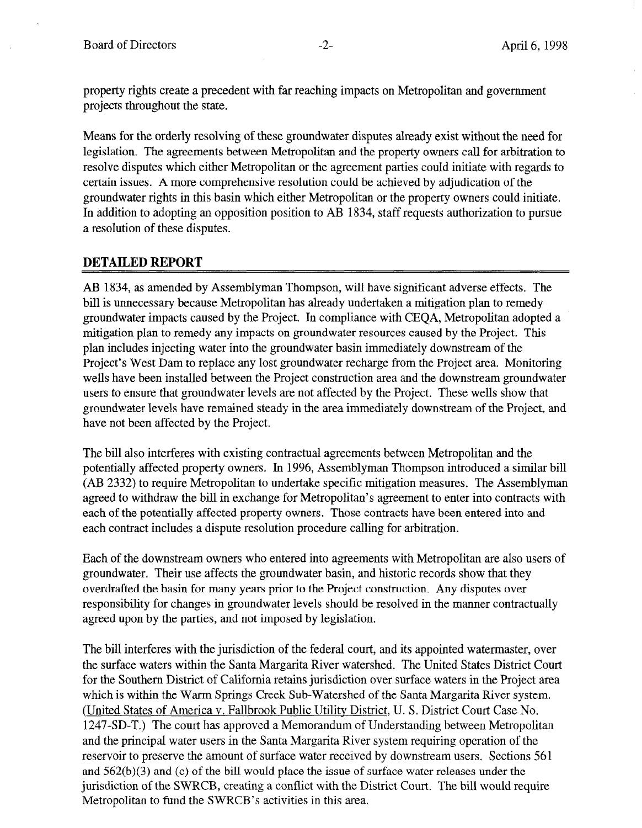property rights create a precedent with far reaching impacts on Metropolitan and government projects throughout the state.

Means for the orderly resolving of these groundwater disputes already exist without the need for legislation. The agreements between Metropolitan and the property owners call for arbitration to resolve disputes which either Metropolitan or the agreement parties could initiate with regards to certain issues. A more comprehensive resolution could be achieved by adjudication of the groundwater rights in this basin which either Metropolitan or the property owners could initiate. In addition to adopting an opposition position to AB 1834, staff requests authorization to pursue a resolution of these disputes.

## DETAILED REPORT

AB 1834, as amended by Assemblyman Thompson, will have significant adverse effects. The bill is unnecessary because Metropolitan has already undertaken a mitigation plan to remedy groundwater impacts caused by the Project. In compliance with CEQA, Metropolitan adopted a mitigation plan to remedy any impacts on groundwater resources caused by the Project. This plan includes injecting water into the groundwater basin immediately downstream of the Project's West Dam to replace any lost groundwater recharge from the Project area. Monitoring wells have been installed between the Project construction area and the downstream groundwater wells have been instance between the 1 roject construction area and the dwinstream groundwa users to ensure that groundwater revers are not arrected by the Froject. These wens show that groundwater levels have remained steady in the area immediately downstream of the Project, and have not been affected by the Project.

The bill also interferes with existing contractual agreements between Metropolitan and the potential and methods with existing contractual agreements between Metropolitan and the potentially affected property owners. In 1996, Assemblyman Thompson introduced a similar bill (AB 2332) to require Metropolitan to undertake specific mitigation measures. The Assemblyman agreed to withdraw the bill in exchange for Metropolitan's agreement to enter into contracts with each of the potentially affected property owners. Those contracts have been entered into and each contract includes a dispute resolution procedure calling for arbitration.

Each of the downstream owners who entered into agreements with Metropolitan are also users of groundwater. Their use affects the groundwater basin, and historic records show that they overdrafted the basin for many years prior to the Project construction. Any disputes over responsibility for changes in groundwater levels should be resolved in the manner contractually agreed upon by the parties, and not imposed by legislation.

The bill interferes with the jurisdiction of the federal court, and its appointed watermaster, over the surface waters within the Santa Margarita River watershed. The United States District Court for the Southern District of California retains jurisdiction over surface waters in the Project area which is within the Warm Springs Creek Sub-Watershed of the Santa Margarita River system. (United States of America v. Fallbrook Public Utility District, U. S. District Court Case No. 1247-SD-T.) The court has approved a Memorandum of Understanding between Metropolitan and the principal water users in the Santa Margarita River system requiring operation of the reservoir to preserve the amount of surface water received by downstream users. Sections 561 and  $562(b)(3)$  and (c) of the bill would place the issue of surface water releases under the jurisdiction of the SWRCB, creating a conflict with the District Court. The bill would require Metropolitan to fund the SWRCB's activities in this area.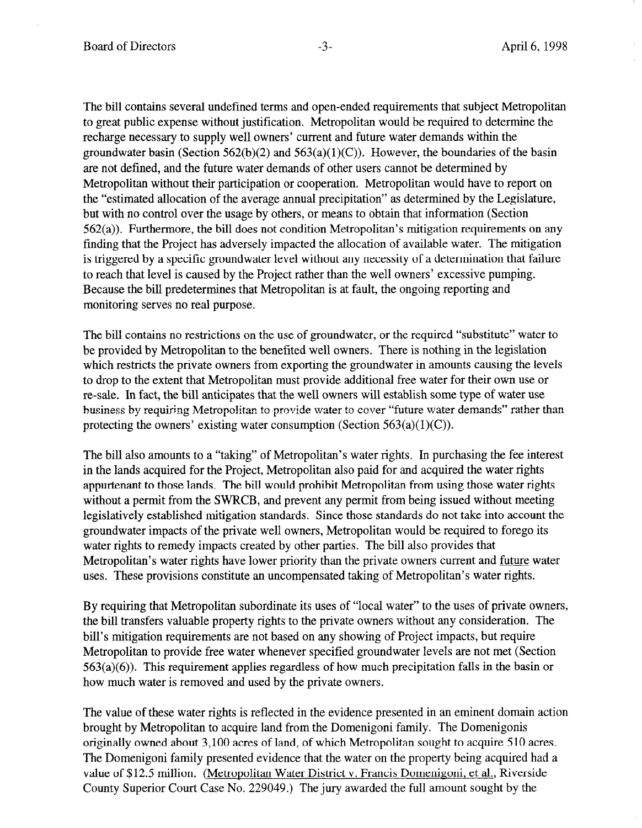The bill contains several undefined terms and open-ended requirements that subject Metropolitan to great public expense without justification. Metropolitan would be required to determine the recharge necessary to supply well owners' current and future water demands within the groundwater basin (Section 562(b)(2) and 563(a)(1)(C)). However, the boundaries of the basin are not defined, and the future water demands of other users cannot be determined by Metropolitan without their participation or cooperation. Metropolitan would have to report on the "estimated allocation of the average annual precipitation" as determined by the Legislature, but with no control over the usage by others, or means to obtain that information (Section 562(a)). Furthermore, the bill does not condition Metropolitan's mitigation requirements on any finding that the Project has adversely impacted the allocation of available water. The mitigation is triggered by a specific groundwater level without any necessity of a determination that failure to reach that level is caused by the Project rather than the well owners' excessive pumping. Because the bill predetermines that Metropolitan is at fault, the ongoing reporting and monitoring serves no real purpose.

The bill contains no restrictions on the use of groundwater, or the required "substitute" water to be provided by Metropolitan to the benefited well owners. There is nothing in the legislation which restricts the private owners from exporting the groundwater in amounts causing the levels to drop to the extent that Metropolitan must provide additional free water for their own use or re-sale. In fact, the bill anticipates that the well owners will establish some type of water use business by requiring Metropolitan to provide water to cover "future water demands" rather than protecting the owners' existing water consumption (Section  $563(a)(1)(C)$ ).

The bill also amounts to a "taking" of Metropolitan's water rights. In purchasing the fee interest The off also amounts to a taking of Netropolitan s water rights. In purchasing the recent in the lands acquired for the Project, Metropolitan also paid for and acquired the water rights appurtenant to those lands. The bill would prohibit Metropolitan from using those water rights without a permit from the SWRCB, and prevent any permit from being issued without meeting legislatively established mitigation standards. Since those standards do not take into account the groundwater impacts of the private well owners, Metropolitan would be required to forego its water rights to remedy impacts created by other parties. The bill also provides that Metropolitan's water rights have lower priority than the private owners current and <u>future</u> water uses. These provisions constitute an uncompensated taking of Metropolitan's water rights.

By requiring that Metropolitan subordinate its uses of "local water" to the uses of private owners, the bill transfers valuable property rights to the private owners without any consideration. The bill's mitigation requirements are not based on any showing of Project impacts, but require Metropolitan to provide free water whenever specified groundwater levels are not met (Section  $563(a)(6)$ ). This requirement applies regardless of how much precipitation falls in the basin or how much water is removed and used by the private owners.

The value of these water rights is reflected in the evidence presented in an eminent domain action brought by Metropolitan to acquire land from the Domenigoni family. The Domenigonis originally owned about 3,100 acres of land, of which Metropolitan sought to acquire 510 acres. The Domenigoni family presented evidence that the water on the property being acquired had a value of \$12.5 million. (Metropolitan Water District v. Francis Domenigoni, et al., Riverside County Superior Court Case No. 229049.) The jury awarded the full amount sought by the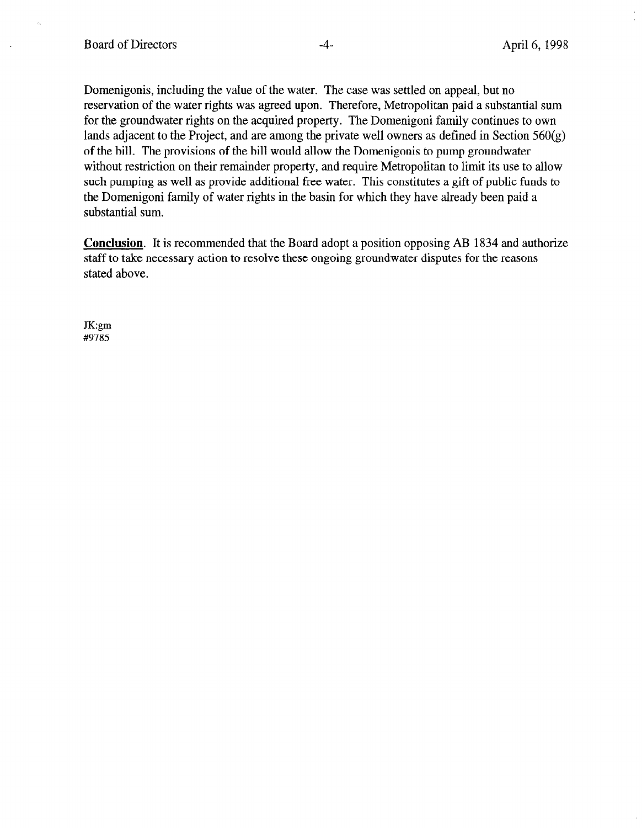Domenigonis, including the value of the water. The case was settled on appeal, but no reservation of the water rights was agreed upon. Therefore, Metropolitan paid a substantial sum for the groundwater rights on the acquired property. The Domenigoni family continues to own lands adjacent to the Project, and are among the private well owners as defined in Section  $560(g)$ of the bill. The provisions of the bill would allow the Domenigonis to pump groundwater without restriction on their remainder property, and require Metropolitan to limit its use to allow such pumping as well as provide additional free water. This constitutes a gift of public funds to the Domenigoni family of water rights in the basin for which they have already been paid a substantial sum.

Conclusion. It is recommended that the Board adopt a position opposing AB 1834 and authorize staff to take necessary action to resolve these ongoing groundwater disputes for the reasons stated above.

JK:gm #9785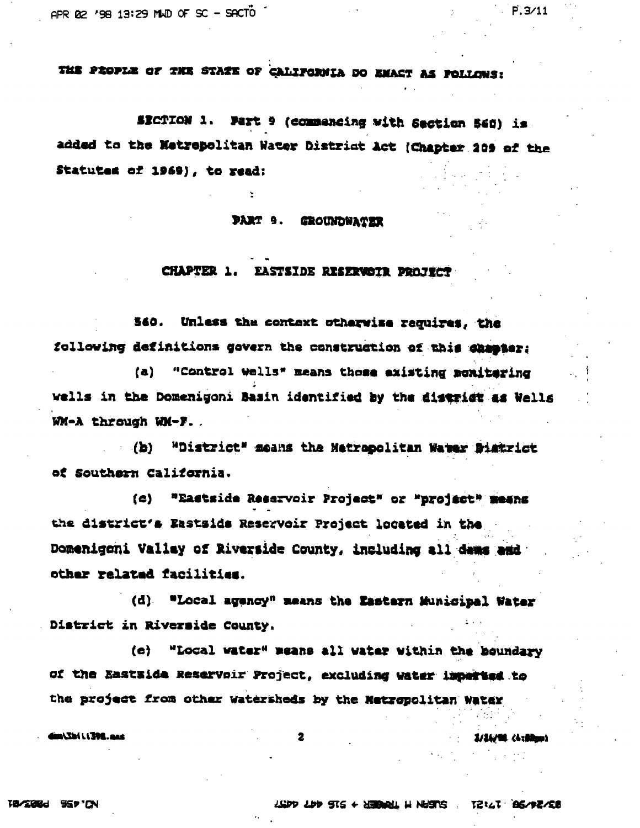THE PROPLE OF THE STATE OF CALLFORNIA DO EMACT AS POLLOWS:

SECTION 1. Part 9 (commencing with Section 540) is. added to the Metropolitan Water District Act (Chapter 209 of the Statutes of 1969), to read:

**PART 9. GROUNDNATER** 

## CHAPTER 1. EASTSIDE RESERVOTE PROJECT

560. Unless the context otherwise requires, the following definitions gevern the construction of this chamier:

(a) "Control wells" means those existing menitering wells in the Domenigoni Basin identified by the district as Wells WM-A through WM-F.

"District" means the Matrepolitan Water Bistrict  $\left( \mathbf{b} \right)$ of Southern California.

(c) "Eastside Reservoir Project" or "project" means the district's Eastsids Reservoir Project located in the Domenigeni Vallay of Riverside County, including all dams and other related facilities.

(d) "Local agency" means the Eastern Municipal Water District in Riverside County,

(e) "Local water" means all water within the houndary of the Eastside Reservoir Project, excluding water imperies to the project from other Watersheds by the Metropolitan Water

*ana. 2021 / 127 mil* 

 $\overline{\mathbf{z}}$ 

**S/SA/90, (Arithm)** 

 $P.3/11$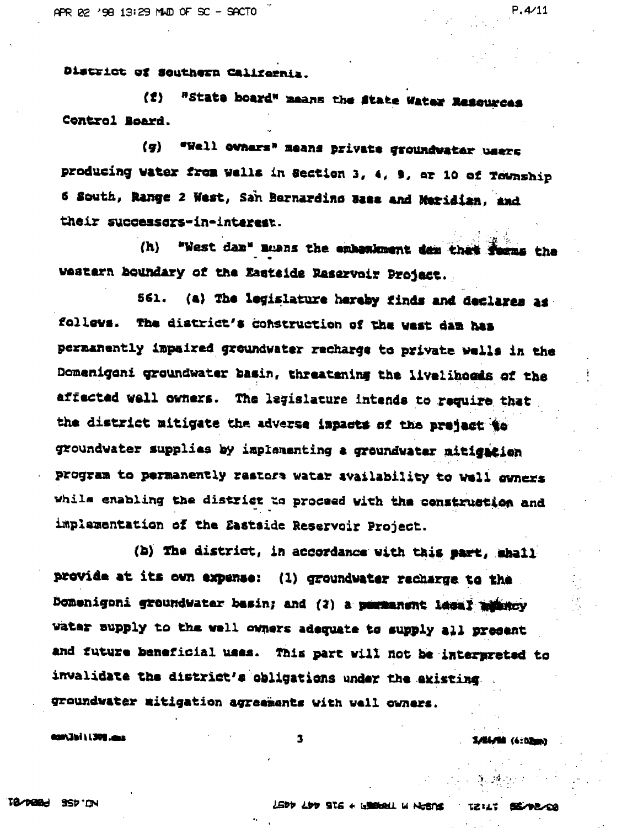District of Southern Califernia.

"State board" means the State Water Resources (1) Control Board.

(g) "Well owners" means private groundwater users producing water from wells in Section 3, 4, 9, ar 10 of Township 6 South, Range 2 West, San Bernarding Base and Meridian, and their successors-in-interest.

"West dan" muans the embasiment dan that forms the  $(h)$ western houndary of the Eastside Raservoir Project.

(a) The legislature hereby finds and declares as 561. follows. The district's construction of the west dam has permanently impaired groundwater recharge to private wells in the Domenigeni groundwater basin, threatening the livelihoeds of the affected well owners. The legislature intends to require that the district mitigate the adverse impacts of the preject to groundwater supplies by implementing a groundwater mitigation program to permanently restors watar availability to well owners while enabling the district to proceed with the construction and implementation of the Eastside Reservoir Project.

(b) The district, in accordance with this part, shall provide at its own expense: (1) groundwater recharge to the Domenigoni groundwater basin; and (2) a parmanent lessl admncy water supply to the well owners adequate to supply all present and future beneficial uses. This part will not be interpreted to invalidate the district's obligations under the existing groundwater mitigation agreements with well owners.

 $\mathbf{3}$ 

100.11 / 1391.000

**SANAMA (6:02mm)** 

 $P, 4/11$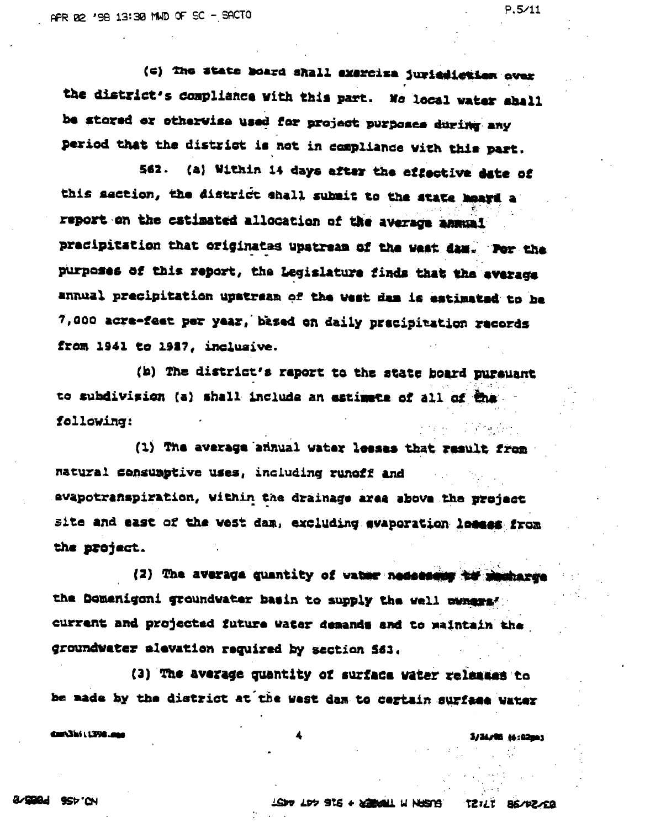(c) The state board shall exercise juricaletien ever the district's compliance with this part. No local water aball be stored or otherwise used for project purposes during any period that the district is not in compliance with this part.

562. (a) Within 14 days after the effective date of this saction, the district shall submit to the state heard a report on the estimated allocation of the average annual pracipitation that originates upstream of the west dam. Por the purposes of this report, the Legislature finds that the average annual precipitation upstream of the west dam is estimated to be 7,000 acre-feet per year, based on daily precipitation records from 1941 to 1917, inclusive.

(b) The district's report to the state board pureuant to subdivision (a) shall include an estimate of all of the following:

(1) The average annual water lesses that result from natural consumptive uses, including runoff and avapotranspiration, within the drainage area above the project site and east of the vest dam, excluding evaporation losses from the project.

(2) The average quantity of water nedeesang to mechange the Domenigoni groundwater basin to supply the well nunque" current and projected future water demands and to maintain the groundwater alevation required by section 563.

(3) The average quantity of surface vater releases to be made by the district at the west dam to certain surface water

dar Shi (1398.am)

LEDY LDY STE + DEBUNL W NUSTE TZILI BE/PZ/EQ

**S/36/98 (6:02m)**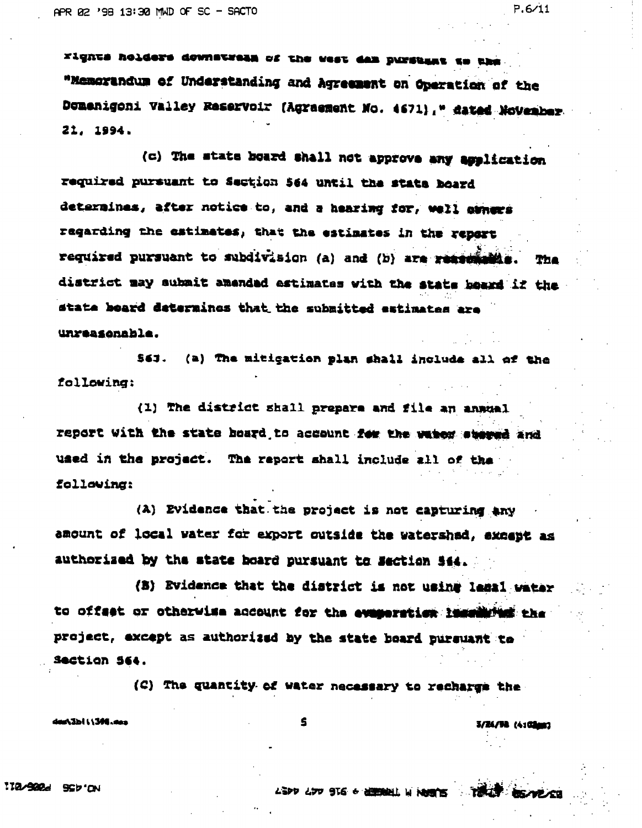rights holders downstream of the west dan pursuant to the "Memorandum of Understanding and Agreement on Operation of the Domenigoni Valley Reservoir (Agraement No. 4671)," dated November  $21.1994.$ 

(c) The state board shall not approve any application required pursuant to Section 564 until the state board determines, after notice to, and a hearing for, well conces regarding the estimates, that the estimates in the report required pursuant to subdivision (a) and (b) are ressonable. The district may submit amended estimates with the state beard if the state board determines that the submitted estimates are unreasonable.

563. (a) The mitigation plan shall include all of the following:

(1) The district shall prepare and file an annual report with the state board to account for the water steemd and used in the project. The report shall include all of the following:

(A) Evidence that the project is not capturing any amount of local water for export outside the watershad, except as authorized by the state board pursuant to Section 544.

(B) Evidence that the district is not using less1 water to offset or otherwise account for the evaporation incelling the project, except as authorized by the state board pursuant to Saction See.

S

(C) The quantity of water necessary to recharge the

desA3b111300.ees

3/24/58 (4:02mm)

ASPD ADD STS & HERBEL IN NORTH TO TOUR BEARLOCK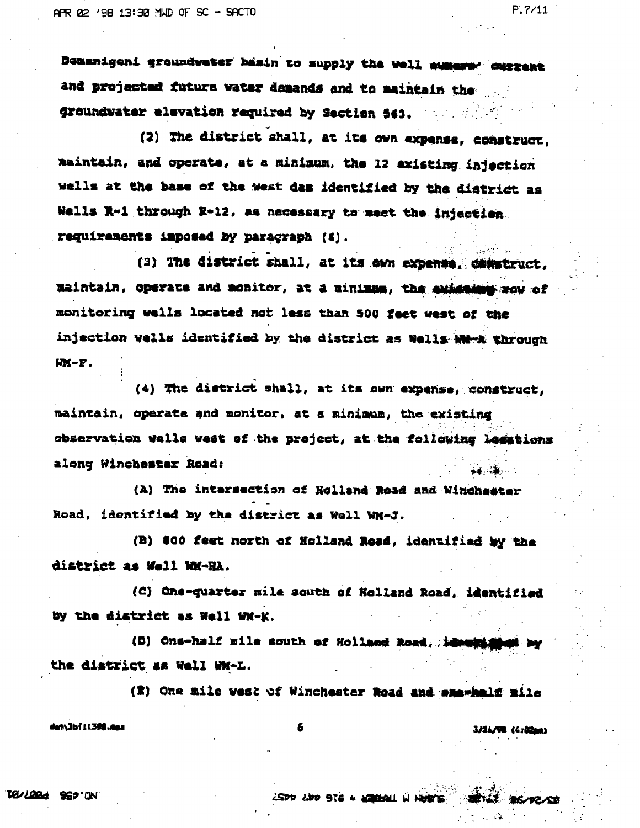Domanigeni groundwater basin to supply the well aussers' surgent and projected future water demands and to maintain the groundwater elevation required by Section 563. The Sea

(2) The district shall, at its own expanse, construct. maintain, and operate, at a minimum, the 12 existing injection wells at the base of the west das identified by the district as Wells R-1 through R-12, as necessary to meet the injection. requirements imposed by paragraph (6).

(3) The district shall, at its own expense, construct, maintain, coerate and monitor, at a minimum, the existeins mow of monitoring wells located not less than 500 feet west of the injection wells identified by the district as Wells WM-A through  $M-F.$ 

(4) The district shall, at its own expense, construct, maintain, operate and monitor, at a minimum, the existing observation wells west of the project, at the following legations along Winchester Road: والمتقادر فغا

(A) The intersection of Holland Road and Winchester Road, identified by the district as Well WM-J.

(B) 800 feet north of Holland Road, identified by the district as Well WM-RA.

(C) One-quarter mile south of Holland Road, identified by the district as Well WM-K.

(B) One-half mile south of Holland Road, identicated by the district as Well WM-L.

(2) One mile west of Winchester Road and membels mile

dem3bill392.mas

6

3/26/98 (4:02mm)

 $P.7/11$ 

LSDD LDD 916 + LEDDAL H NHOTS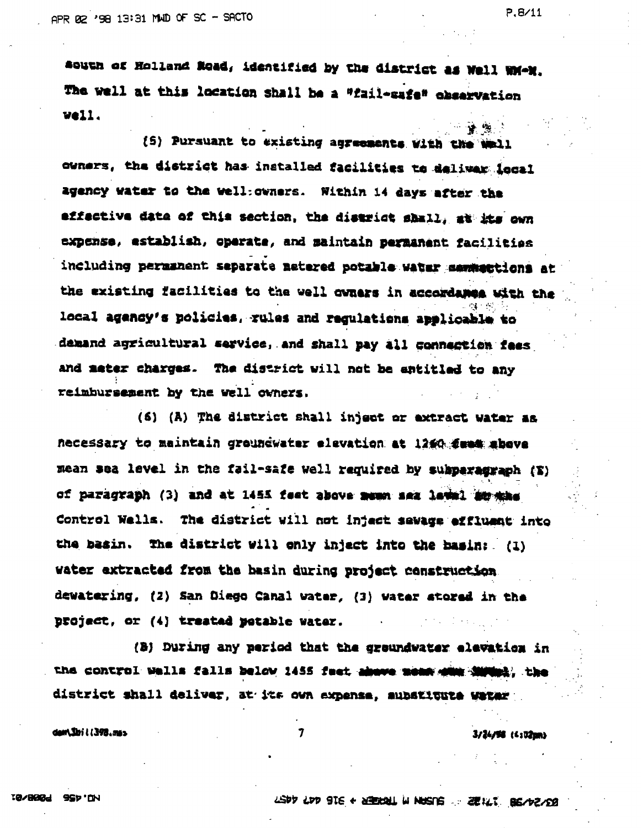south of Holland Road, identified by the district as Well WM-M. The well at this location shall be a "fail-safe" observation vell.

[5] Pursuant to existing agreements with the Wmll owners, the district has installed facilities to deliver local agency water to the well: owners. Within 14 days after the effective data of this section, the disarict shall, at the own expense, establish, operate, and maintain permanent facilities including permanent separate metered potable water mentattions at the existing facilities to the well owners in accordance with the local agency's policies, rules and regulations applicable to demand agricultural service, and shall pay all connection fees and mater charges. The district will not be antitled to any reimbursement by the well owners.

(6) (A) The district shall inject or extract water as necessary to maintain groundwater elevation at 1260 fees above mean sea level in the fail-safe well required by subparagraph (S) of paragraph (3) and at 1455 feet above mush sea lawsl 20 mas Control Wells. The district will not inject sewage effluent into the basin. The district will only inject into the basin: (1) water extracted from the basin during project construction. dewatering, (2) San Diego Canal water, (3) water stored in the project, or (4) treated potable water.

(B) During any period that the groundwater elevation in the control wells falls below 1455 feet above mean with the the district shall deliver, at its own expense, aubstitute weter

 $\overline{7}$ 

dam Shi i i 398.ms.

 $3/24/54$  (4:02m)

<mark>ડ≱ છે</mark>.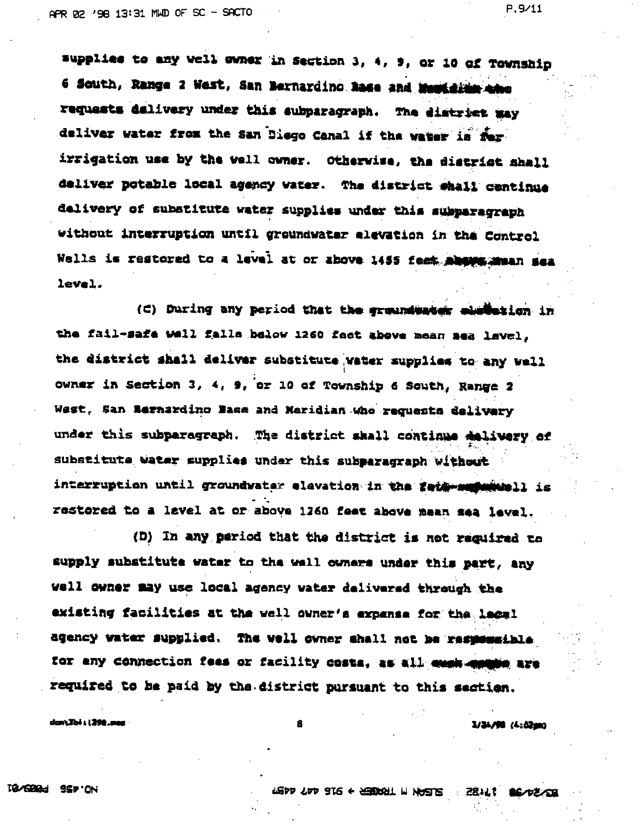supplies to any well ewher in Section 3, 4, 9, or 10 of Township 6 South, Range 2 West, San Bernardino hase and Must side after requests dalivery under this subparagraph. The district way deliver water from the San Diego Canal if the water is for irrigation use by the well owner. Otherwise, the district shall deliver potable local agency water. The district shall centinue delivery of substitute water supplies under this subparagraph without interruption until groundwater elevation in the Control Wells is restored to a level at or above 1455 feet about mean sea

level.

(C) During any period that the groundwater mheterien in the fail-safe well falls below 1260 fact above mean sea lavel. the district shall deliver substitute vater supplies to any wall owner in Section 3, 4, 9, or 10 of Township 6 South, Range 2 West, San Bernardino Base and Meridian who requests delivery under this subparagraph. The district shall continue dalivery of substitute water supplies under this subparagraph without interruption until groundwater elevation in the feig-supermuell is restored to a level at or above 1260 feet above mean sea level.

(D) In any period that the district is not reguired to supply substitute water to the well cwhere under this part, any well owner may use local agency water delivered through the existing facilities at the well owner's expense for the lagel agency water supplied. The well owner shall not be responsible for any connection fees or facility costs, as all must manufe are required to be paid by the district pursuant to this section.

don\Jbi 11398.ass

 $3/34/98$   $(4:0200)$ 

 $P.9/11$ 

THE TAS ITE A SERIOR TRANS SERIOR CASH A SUB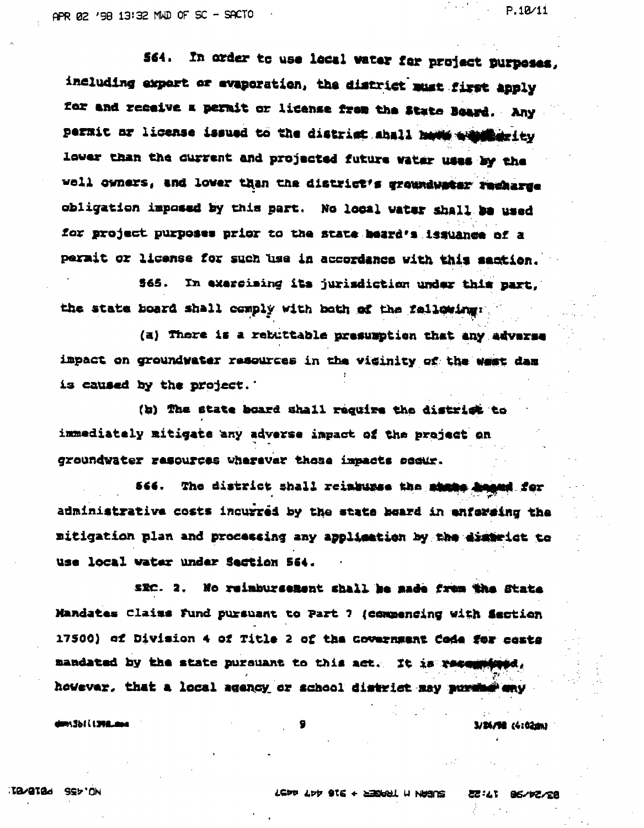$P.10/11$ 

S64. In order to use local water for project purposes, including expert or evaporation, the district must first apply for and receive a permit or license from the State Board. Any permit or license issued to the district shall have a possed ty lower than the current and projected future water uses by the well owners, and lower than the district's groundwater racharge obligation imposed by this part. No local water shall be used for project purposes prior to the state beard's issuance of a permit or license for such use in accordance with this saction.

565. In exercising its jurisdiction under this part, the state board shall comply with both of the fallowing:

(a) There is a rebuttable presumption that any adverse impact on groundwater resources in the visinity of the west dam is caused by the project.

(b) The state board shall require the district to immediately mitigate any adverse impact of the project on groundwater rasources wherevar those impacts socur.

566. The district shall reinburse the shape handel for administrative costs incurred by the state board in enforaing the mitigation plan and processing any application by the district to use local water under Section 564.

SEC. 2. No reimbursement shall be made from the State Mandates Claims Fund pursuant to Part 7 (compending with Section 17500) of Division 4 of Title 2 of the Government Code for costs mandated by the state pursuant to this act. It is resembland, however, that a local agency or school district may purche any

dm:3b1(1398.ms

3/24/98 (4:02m)